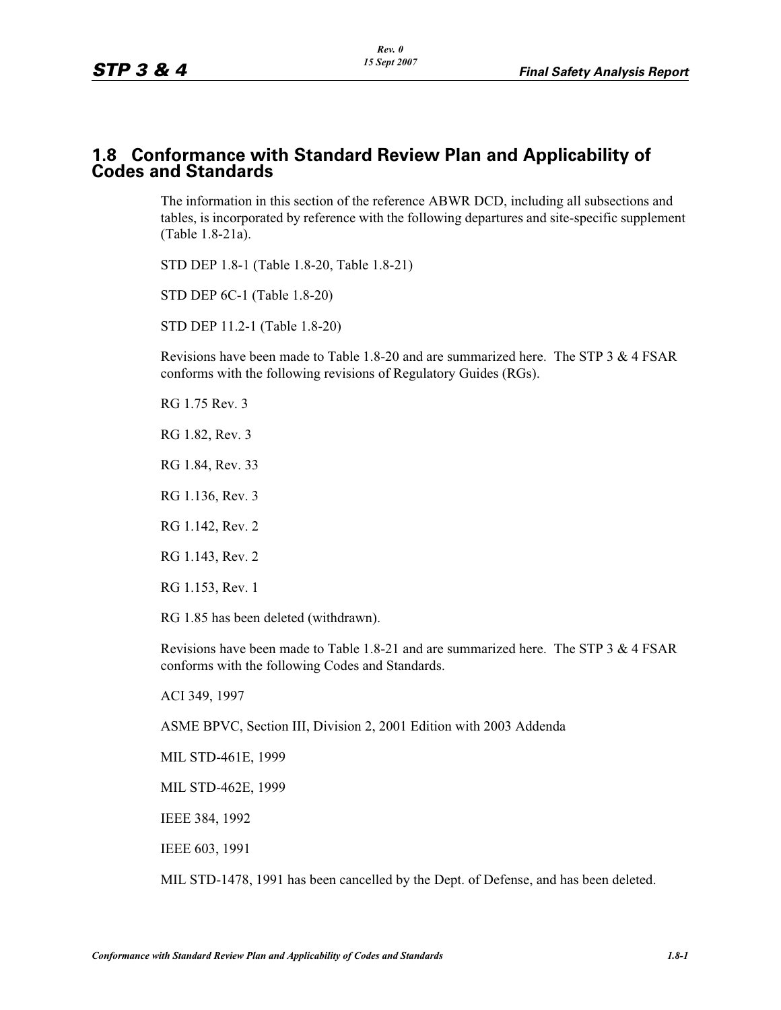#### **1.8 Conformance with Standard Review Plan and Applicability of Codes and Standards**

The information in this section of the reference ABWR DCD, including all subsections and tables, is incorporated by reference with the following departures and site-specific supplement (Table 1.8-21a).

STD DEP 1.8-1 (Table 1.8-20, Table 1.8-21)

STD DEP 6C-1 (Table 1.8-20)

STD DEP 11.2-1 (Table 1.8-20)

Revisions have been made to Table 1.8-20 and are summarized here. The STP 3 & 4 FSAR conforms with the following revisions of Regulatory Guides (RGs).

RG 1.75 Rev. 3

RG 1.82, Rev. 3

RG 1.84, Rev. 33

RG 1.136, Rev. 3

RG 1.142, Rev. 2

RG 1.143, Rev. 2

RG 1.153, Rev. 1

RG 1.85 has been deleted (withdrawn).

Revisions have been made to Table 1.8-21 and are summarized here. The STP 3 & 4 FSAR conforms with the following Codes and Standards.

ACI 349, 1997

ASME BPVC, Section III, Division 2, 2001 Edition with 2003 Addenda

MIL STD-461E, 1999

MIL STD-462E, 1999

IEEE 384, 1992

IEEE 603, 1991

MIL STD-1478, 1991 has been cancelled by the Dept. of Defense, and has been deleted.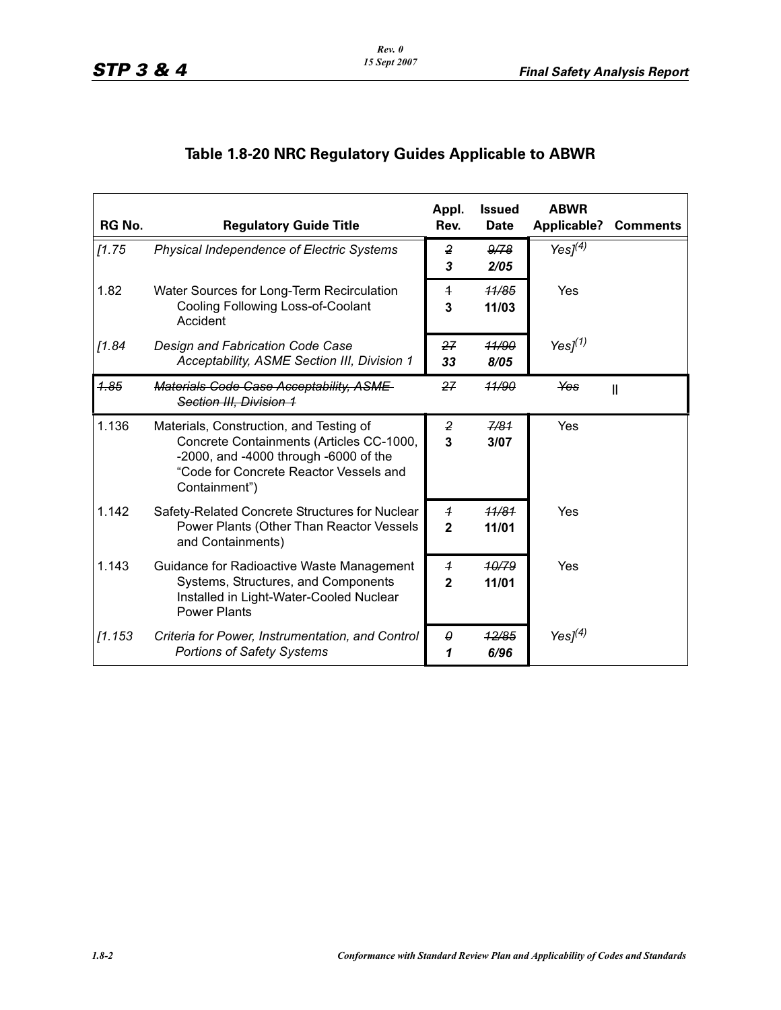## **Table 1.8-20 NRC Regulatory Guides Applicable to ABWR**

| RG No.  | <b>Regulatory Guide Title</b>                                                                                                                                                           | Appl.<br>Rev.                      | <b>Issued</b><br><b>Date</b> | <b>ABWR</b><br><b>Applicable?</b> | <b>Comments</b> |
|---------|-----------------------------------------------------------------------------------------------------------------------------------------------------------------------------------------|------------------------------------|------------------------------|-----------------------------------|-----------------|
| [1.75]  | Physical Independence of Electric Systems                                                                                                                                               | $\overline{2}$<br>3                | 9/78<br>2/05                 | Yes $I^{(4)}$                     |                 |
| 1.82    | Water Sources for Long-Term Recirculation<br>Cooling Following Loss-of-Coolant<br>Accident                                                                                              | $\overline{1}$<br>3                | 11/85<br>11/03               | Yes                               |                 |
| [1.84]  | Design and Fabrication Code Case<br>Acceptability, ASME Section III, Division 1                                                                                                         | 27<br>33                           | 41/90<br>8/05                | Yes $l^{(1)}$                     |                 |
| 4.85    | Materials Code Case Acceptability, ASME<br>Section III, Division 1                                                                                                                      | 27                                 | 11/90                        | Yes                               | $\mathbf{I}$    |
| 1.136   | Materials, Construction, and Testing of<br>Concrete Containments (Articles CC-1000,<br>-2000, and -4000 through -6000 of the<br>"Code for Concrete Reactor Vessels and<br>Containment") | $\boldsymbol{2}$<br>$\overline{3}$ | 7/81<br>3/07                 | Yes                               |                 |
| 1.142   | Safety-Related Concrete Structures for Nuclear<br>Power Plants (Other Than Reactor Vessels<br>and Containments)                                                                         | $\overline{1}$<br>$\mathbf{2}$     | 11/81<br>11/01               | Yes                               |                 |
| 1.143   | Guidance for Radioactive Waste Management<br>Systems, Structures, and Components<br>Installed in Light-Water-Cooled Nuclear<br><b>Power Plants</b>                                      | $\overline{1}$<br>$\mathbf{2}$     | 10/79<br>11/01               | Yes                               |                 |
| [1.153] | Criteria for Power, Instrumentation, and Control<br><b>Portions of Safety Systems</b>                                                                                                   | $\theta$<br>1                      | 12/85<br>6/96                | Yes $l^{(4)}$                     |                 |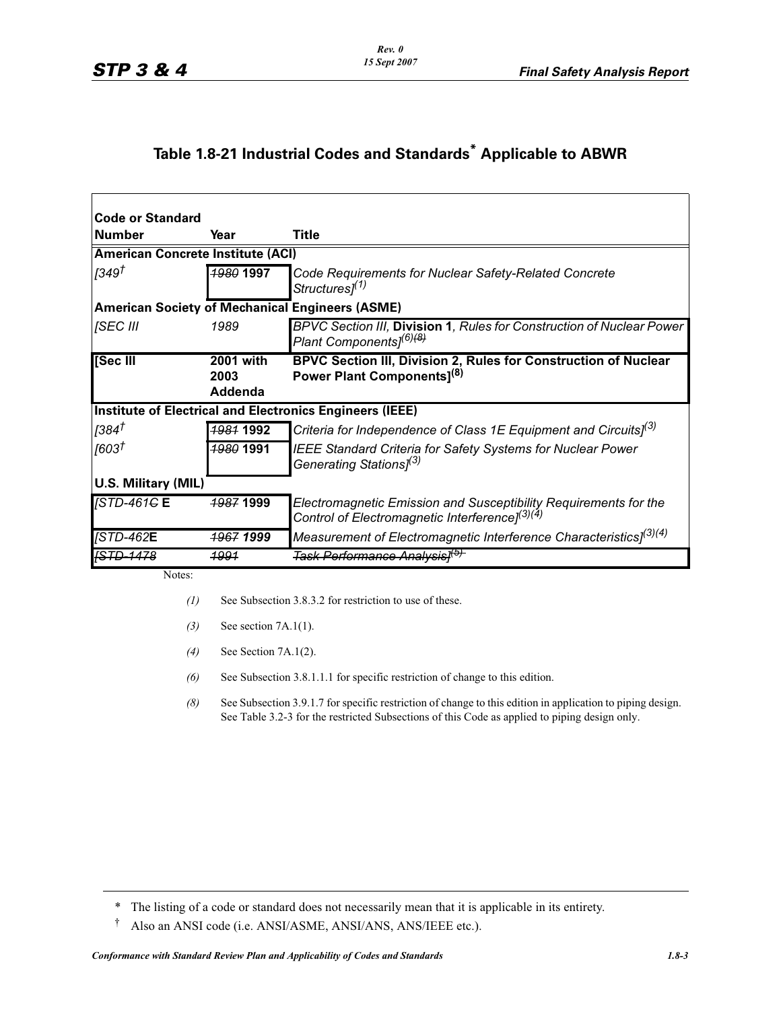# **Table 1.8-21 Industrial Codes and Standards\* Applicable to ABWR**

| Code or Standard                                       |                      |                                                                                                                                |  |  |
|--------------------------------------------------------|----------------------|--------------------------------------------------------------------------------------------------------------------------------|--|--|
| l Number                                               | Year                 | <b>Title</b>                                                                                                                   |  |  |
| <b>American Concrete Institute (ACI)</b>               |                      |                                                                                                                                |  |  |
| [349 <sup>†</sup>                                      | 1980 1997            | Code Requirements for Nuclear Safety-Related Concrete<br>Structures <sup>[1]</sup>                                             |  |  |
| <b>American Society of Mechanical Engineers (ASME)</b> |                      |                                                                                                                                |  |  |
| <b>SEC III</b>                                         | 1989                 | BPVC Section III, Division 1, Rules for Construction of Nuclear Power<br>Plant Components] <sup>(6)<del>(8)</del></sup>        |  |  |
| [Sec III                                               | $2001$ with          | BPVC Section III, Division 2, Rules for Construction of Nuclear                                                                |  |  |
|                                                        | 2003                 | Power Plant Components] <sup>(8)</sup>                                                                                         |  |  |
|                                                        | Addenda              |                                                                                                                                |  |  |
|                                                        |                      | <b>Institute of Electrical and Electronics Engineers (IEEE)</b>                                                                |  |  |
| [384 <sup>†</sup>                                      | 1981 1992            | Criteria for Independence of Class 1E Equipment and Circuits] <sup>(3)</sup>                                                   |  |  |
| [603†                                                  | <b>1980 1991</b>     | IEEE Standard Criteria for Safety Systems for Nuclear Power<br>Generating Stations <sup>[3]</sup>                              |  |  |
| U.S. Military (MIL)                                    |                      |                                                                                                                                |  |  |
| <b>STD-461GE</b>                                       | <b>1987 1999</b>     | Electromagnetic Emission and Susceptibility Requirements for the<br>Control of Electromagnetic Interference] <sup>(3)(4)</sup> |  |  |
| <b>STD-462E</b>                                        | <del>1967</del> 1999 | Measurement of Electromagnetic Interference Characteristics $l^{(3)(4)}$                                                       |  |  |
|                                                        | <u> 1991</u>         | <del>Task Performance Analysis]<sup>(b)</sup></del>                                                                            |  |  |

Notes:

- *(1)* See Subsection 3.8.3.2 for restriction to use of these.
- *(3)* See section 7A.1(1).
- *(4)* See Section 7A.1(2).
- *(6)* See Subsection 3.8.1.1.1 for specific restriction of change to this edition.
- *(8)* See Subsection 3.9.1.7 for specific restriction of change to this edition in application to piping design. See Table 3.2-3 for the restricted Subsections of this Code as applied to piping design only.

† Also an ANSI code (i.e. ANSI/ASME, ANSI/ANS, ANS/IEEE etc.).

<sup>\*</sup> The listing of a code or standard does not necessarily mean that it is applicable in its entirety.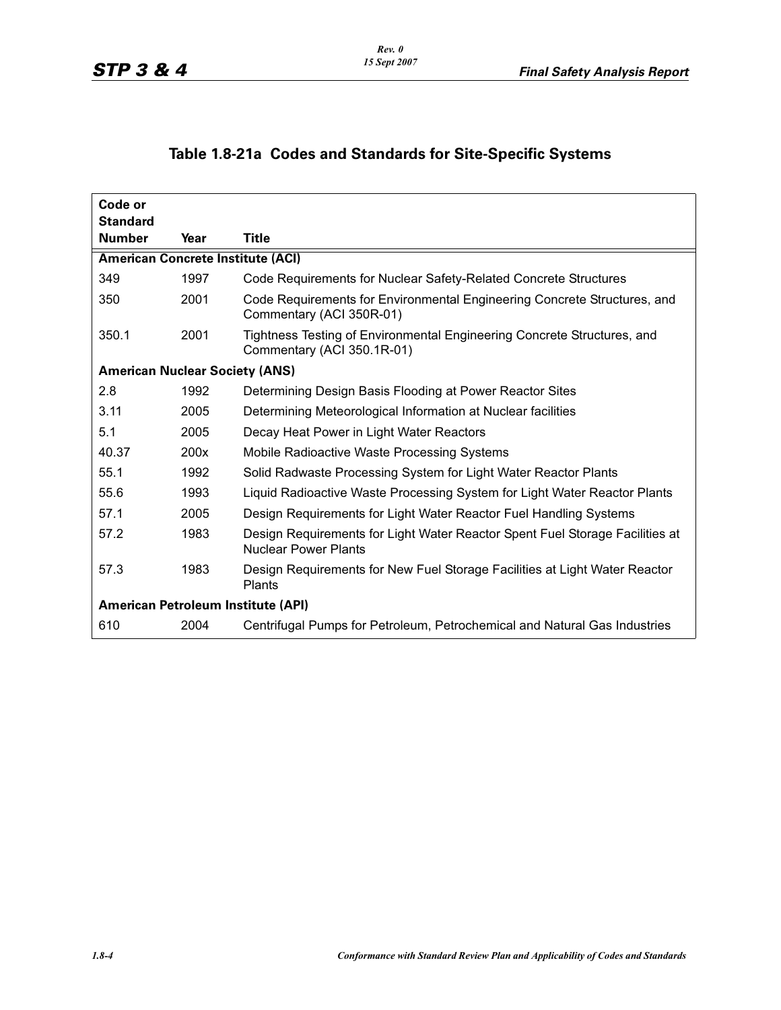### **Table 1.8-21a Codes and Standards for Site-Specific Systems**

| Code or<br><b>Standard</b>               |      |                                                                                                             |
|------------------------------------------|------|-------------------------------------------------------------------------------------------------------------|
| <b>Number</b>                            | Year | Title                                                                                                       |
| <b>American Concrete Institute (ACI)</b> |      |                                                                                                             |
| 349                                      | 1997 | Code Requirements for Nuclear Safety-Related Concrete Structures                                            |
| 350                                      | 2001 | Code Requirements for Environmental Engineering Concrete Structures, and<br>Commentary (ACI 350R-01)        |
| 350.1                                    | 2001 | Tightness Testing of Environmental Engineering Concrete Structures, and<br>Commentary (ACI 350.1R-01)       |
| <b>American Nuclear Society (ANS)</b>    |      |                                                                                                             |
| 2.8                                      | 1992 | Determining Design Basis Flooding at Power Reactor Sites                                                    |
| 3.11                                     | 2005 | Determining Meteorological Information at Nuclear facilities                                                |
| 5.1                                      | 2005 | Decay Heat Power in Light Water Reactors                                                                    |
| 40.37                                    | 200x | Mobile Radioactive Waste Processing Systems                                                                 |
| 55.1                                     | 1992 | Solid Radwaste Processing System for Light Water Reactor Plants                                             |
| 55.6                                     | 1993 | Liquid Radioactive Waste Processing System for Light Water Reactor Plants                                   |
| 57.1                                     | 2005 | Design Requirements for Light Water Reactor Fuel Handling Systems                                           |
| 57.2                                     | 1983 | Design Requirements for Light Water Reactor Spent Fuel Storage Facilities at<br><b>Nuclear Power Plants</b> |
| 57.3                                     | 1983 | Design Requirements for New Fuel Storage Facilities at Light Water Reactor<br>Plants                        |
| American Petroleum Institute (API)       |      |                                                                                                             |
| 610                                      | 2004 | Centrifugal Pumps for Petroleum, Petrochemical and Natural Gas Industries                                   |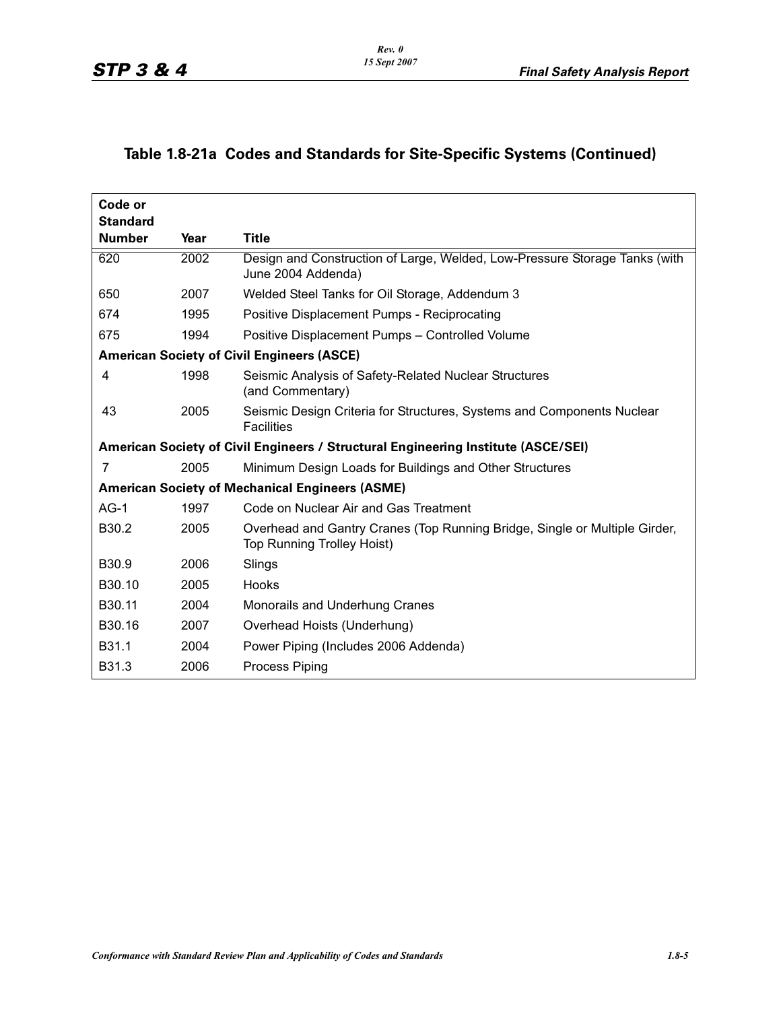#### **Table 1.8-21a Codes and Standards for Site-Specific Systems (Continued)**

| Code or<br><b>Standard</b> |                                                   |                                                                                                                 |  |
|----------------------------|---------------------------------------------------|-----------------------------------------------------------------------------------------------------------------|--|
| <b>Number</b>              | Year                                              | <b>Title</b>                                                                                                    |  |
| 620                        | 2002                                              | Design and Construction of Large, Welded, Low-Pressure Storage Tanks (with<br>June 2004 Addenda)                |  |
| 650                        | 2007                                              | Welded Steel Tanks for Oil Storage, Addendum 3                                                                  |  |
| 674                        | 1995                                              | Positive Displacement Pumps - Reciprocating                                                                     |  |
| 675                        | 1994                                              | Positive Displacement Pumps - Controlled Volume                                                                 |  |
|                            | <b>American Society of Civil Engineers (ASCE)</b> |                                                                                                                 |  |
| 4                          | 1998                                              | Seismic Analysis of Safety-Related Nuclear Structures<br>(and Commentary)                                       |  |
| 43                         | 2005                                              | Seismic Design Criteria for Structures, Systems and Components Nuclear<br><b>Facilities</b>                     |  |
|                            |                                                   | American Society of Civil Engineers / Structural Engineering Institute (ASCE/SEI)                               |  |
| 7                          | 2005                                              | Minimum Design Loads for Buildings and Other Structures                                                         |  |
|                            |                                                   | <b>American Society of Mechanical Engineers (ASME)</b>                                                          |  |
| $AG-1$                     | 1997                                              | Code on Nuclear Air and Gas Treatment                                                                           |  |
| B <sub>30.2</sub>          | 2005                                              | Overhead and Gantry Cranes (Top Running Bridge, Single or Multiple Girder,<br><b>Top Running Trolley Hoist)</b> |  |
| B <sub>30.9</sub>          | 2006                                              | Slings                                                                                                          |  |
| B30.10                     | 2005                                              | Hooks                                                                                                           |  |
| B30.11                     | 2004                                              | Monorails and Underhung Cranes                                                                                  |  |
| B30.16                     | 2007                                              | Overhead Hoists (Underhung)                                                                                     |  |
| B <sub>31.1</sub>          | 2004                                              | Power Piping (Includes 2006 Addenda)                                                                            |  |
| B <sub>31.3</sub>          | 2006                                              | <b>Process Piping</b>                                                                                           |  |